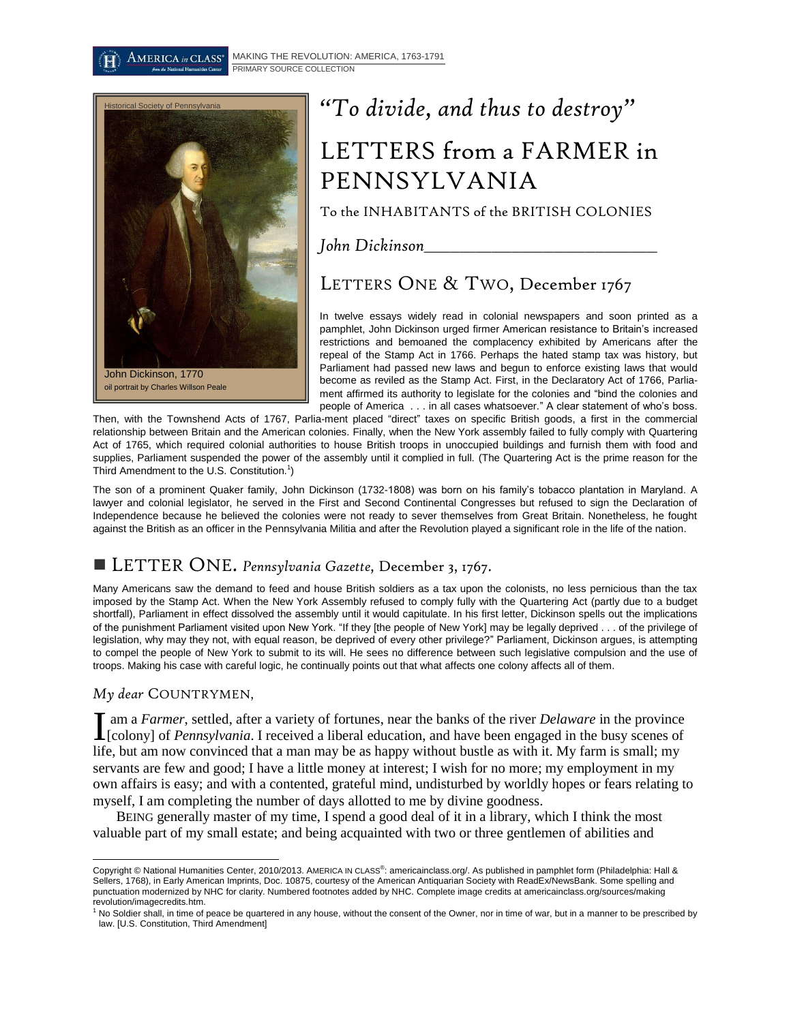[MAKING THE REVOLUTION: AMERICA, 1763-1791](http://americainclass.org/sources/makingrevolution/)  $\operatorname{AMERICA}$  in  $\operatorname{CLASS}^*$ PRIMARY SOURCE COLLECTION



# *"To divide, and thus to destroy"* LETTERS from a FARMER in PENNSYLVANIA

To the INHABITANTS of the BRITISH COLONIES

*John Dickinson\_\_\_\_\_\_\_\_\_\_\_\_\_\_\_\_\_\_\_\_\_\_\_\_\_\_\_\_\_\_\_\_\_\_\_\_\_\_\_\_\_\_\_\_\_*

LETTERS ONE & TWO, December 1767

In twelve essays widely read in colonial newspapers and soon printed as a pamphlet, John Dickinson urged firmer American resistance to Britain's increased restrictions and bemoaned the complacency exhibited by Americans after the repeal of the Stamp Act in 1766. Perhaps the hated stamp tax was history, but Parliament had passed new laws and begun to enforce existing laws that would become as reviled as the Stamp Act. First, in the Declaratory Act of 1766, Parliament affirmed its authority to legislate for the colonies and "bind the colonies and people of America . . . in all cases whatsoever." A clear statement of who's boss.

Then, with the Townshend Acts of 1767, Parlia-ment placed "direct" taxes on specific British goods, a first in the commercial relationship between Britain and the American colonies. Finally, when the New York assembly failed to fully comply with Quartering Act of 1765, which required colonial authorities to house British troops in unoccupied buildings and furnish them with food and supplies, Parliament suspended the power of the assembly until it complied in full. (The Quartering Act is the prime reason for the Third Amendment to the U.S. Constitution.<sup>1</sup>)

The son of a prominent Quaker family, John Dickinson (1732-1808) was born on his family's tobacco plantation in Maryland. A lawyer and colonial legislator, he served in the First and Second Continental Congresses but refused to sign the Declaration of Independence because he believed the colonies were not ready to sever themselves from Great Britain. Nonetheless, he fought against the British as an officer in the Pennsylvania Militia and after the Revolution played a significant role in the life of the nation.

# LETTER ONE. *Pennsylvania Gazette,* December 3, 1767.

Many Americans saw the demand to feed and house British soldiers as a tax upon the colonists, no less pernicious than the tax imposed by the Stamp Act. When the New York Assembly refused to comply fully with the Quartering Act (partly due to a budget shortfall), Parliament in effect dissolved the assembly until it would capitulate. In his first letter, Dickinson spells out the implications of the punishment Parliament visited upon New York. "If they [the people of New York] may be legally deprived . . . of the privilege of legislation, why may they not, with equal reason, be deprived of every other privilege?" Parliament, Dickinson argues, is attempting to compel the people of New York to submit to its will. He sees no difference between such legislative compulsion and the use of troops. Making his case with careful logic, he continually points out that what affects one colony affects all of them.

*My dear* COUNTRYMEN,

am a *Farmer*, settled, after a variety of fortunes, near the banks of the river *Delaware* in the province If am a *Farmer*, settled, after a variety of fortunes, near the banks of the river *Delaware* in the province [colony] of *Pennsylvania*. I received a liberal education, and have been engaged in the busy scenes of life, but am now convinced that a man may be as happy without bustle as with it. My farm is small; my servants are few and good; I have a little money at interest; I wish for no more; my employment in my own affairs is easy; and with a contented, grateful mind, undisturbed by worldly hopes or fears relating to myself, I am completing the number of days allotted to me by divine goodness.

BEING generally master of my time, I spend a good deal of it in a library, which I think the most valuable part of my small estate; and being acquainted with two or three gentlemen of abilities and

 $\overline{\phantom{a}}$ Copyright © National Humanities Center, 2010/2013. AMERICA IN CLASS<sup>®</sup>: americainclass.org/. As published in pamphlet form (Philadelphia: Hall & Sellers, 1768), in Early American Imprints, Doc. 10875, courtesy of the American Antiquarian Society with ReadEx/NewsBank. Some spelling and punctuation modernized by NHC for clarity. Numbered footnotes added by NHC. Complete image credits at americainclass.org/sources/making revolution/imagecredits.htm.

 $1$  No Soldier shall, in time of peace be quartered in any house, without the consent of the Owner, nor in time of war, but in a manner to be prescribed by law. [U.S. Constitution, Third Amendment]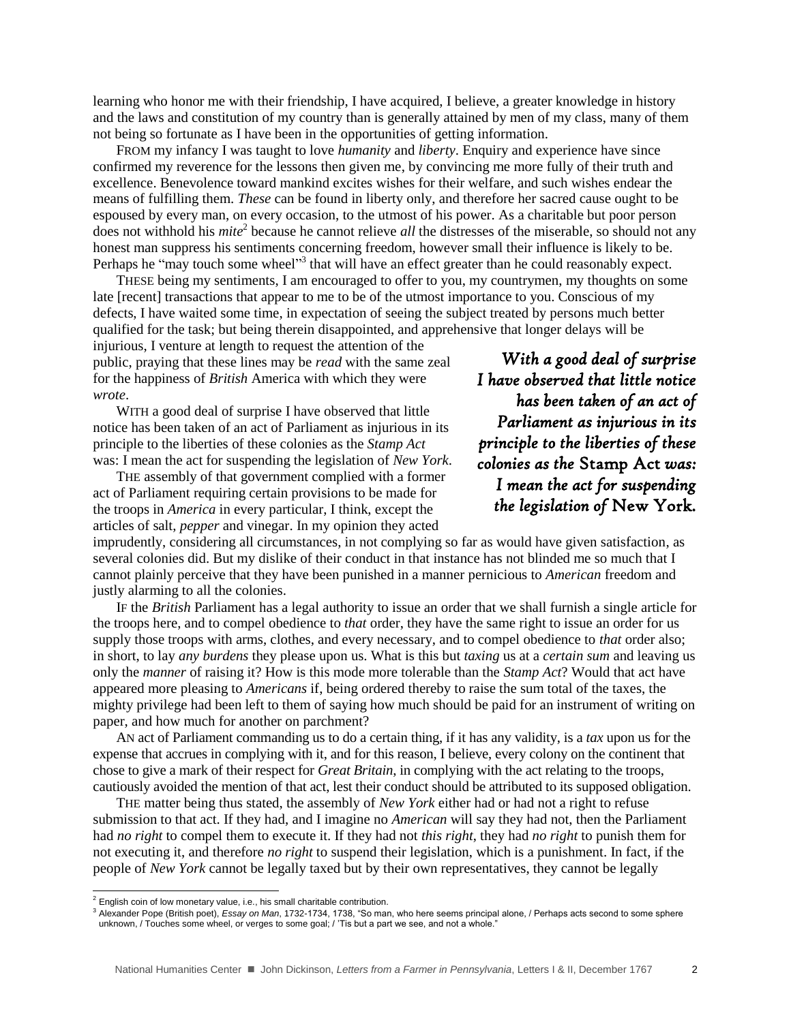learning who honor me with their friendship, I have acquired, I believe, a greater knowledge in history and the laws and constitution of my country than is generally attained by men of my class, many of them not being so fortunate as I have been in the opportunities of getting information.

FROM my infancy I was taught to love *humanity* and *liberty*. Enquiry and experience have since confirmed my reverence for the lessons then given me, by convincing me more fully of their truth and excellence. Benevolence toward mankind excites wishes for their welfare, and such wishes endear the means of fulfilling them. *These* can be found in liberty only, and therefore her sacred cause ought to be espoused by every man, on every occasion, to the utmost of his power. As a charitable but poor person does not withhold his *mite*<sup>2</sup> because he cannot relieve *all* the distresses of the miserable, so should not any honest man suppress his sentiments concerning freedom, however small their influence is likely to be. Perhaps he "may touch some wheel"<sup>3</sup> that will have an effect greater than he could reasonably expect.

THESE being my sentiments, I am encouraged to offer to you, my countrymen, my thoughts on some late [recent] transactions that appear to me to be of the utmost importance to you. Conscious of my defects, I have waited some time, in expectation of seeing the subject treated by persons much better qualified for the task; but being therein disappointed, and apprehensive that longer delays will be

injurious, I venture at length to request the attention of the public, praying that these lines may be *read* with the same zeal for the happiness of *British* America with which they were *wrote*.

WITH a good deal of surprise I have observed that little notice has been taken of an act of Parliament as injurious in its principle to the liberties of these colonies as the *Stamp Act* was: I mean the act for suspending the legislation of *New York*.

THE assembly of that government complied with a former act of Parliament requiring certain provisions to be made for the troops in *America* in every particular, I think, except the articles of salt, *pepper* and vinegar. In my opinion they acted

*With a good deal of surprise I have observed that little notice has been taken of an act of Parliament as injurious in its principle to the liberties of these colonies as the* Stamp Act *was: I mean the act for suspending the legislation of* New York*.* 

imprudently, considering all circumstances, in not complying so far as would have given satisfaction, as several colonies did. But my dislike of their conduct in that instance has not blinded me so much that I cannot plainly perceive that they have been punished in a manner pernicious to *American* freedom and justly alarming to all the colonies.

IF the *British* Parliament has a legal authority to issue an order that we shall furnish a single article for the troops here, and to compel obedience to *that* order, they have the same right to issue an order for us supply those troops with arms, clothes, and every necessary, and to compel obedience to *that* order also; in short, to lay *any burdens* they please upon us. What is this but *taxing* us at a *certain sum* and leaving us only the *manner* of raising it? How is this mode more tolerable than the *Stamp Act*? Would that act have appeared more pleasing to *Americans* if, being ordered thereby to raise the sum total of the taxes, the mighty privilege had been left to them of saying how much should be paid for an instrument of writing on paper, and how much for another on parchment?

AN act of Parliament commanding us to do a certain thing, if it has any validity, is a *tax* upon us for the expense that accrues in complying with it, and for this reason, I believe, every colony on the continent that chose to give a mark of their respect for *Great Britain*, in complying with the act relating to the troops, cautiously avoided the mention of that act, lest their conduct should be attributed to its supposed obligation.

THE matter being thus stated, the assembly of *New York* either had or had not a right to refuse submission to that act. If they had, and I imagine no *American* will say they had not, then the Parliament had *no right* to compel them to execute it. If they had not *this right*, they had *no right* to punish them for not executing it, and therefore *no right* to suspend their legislation, which is a punishment. In fact, if the people of *New York* cannot be legally taxed but by their own representatives, they cannot be legally

l

 $2$  English coin of low monetary value, i.e., his small charitable contribution.

<sup>3</sup> Alexander Pope (British poet), *Essay on Man*, 1732-1734, 1738, "So man, who here seems principal alone, / Perhaps acts second to some sphere unknown, / Touches some wheel, or verges to some goal; / 'Tis but a part we see, and not a whole.'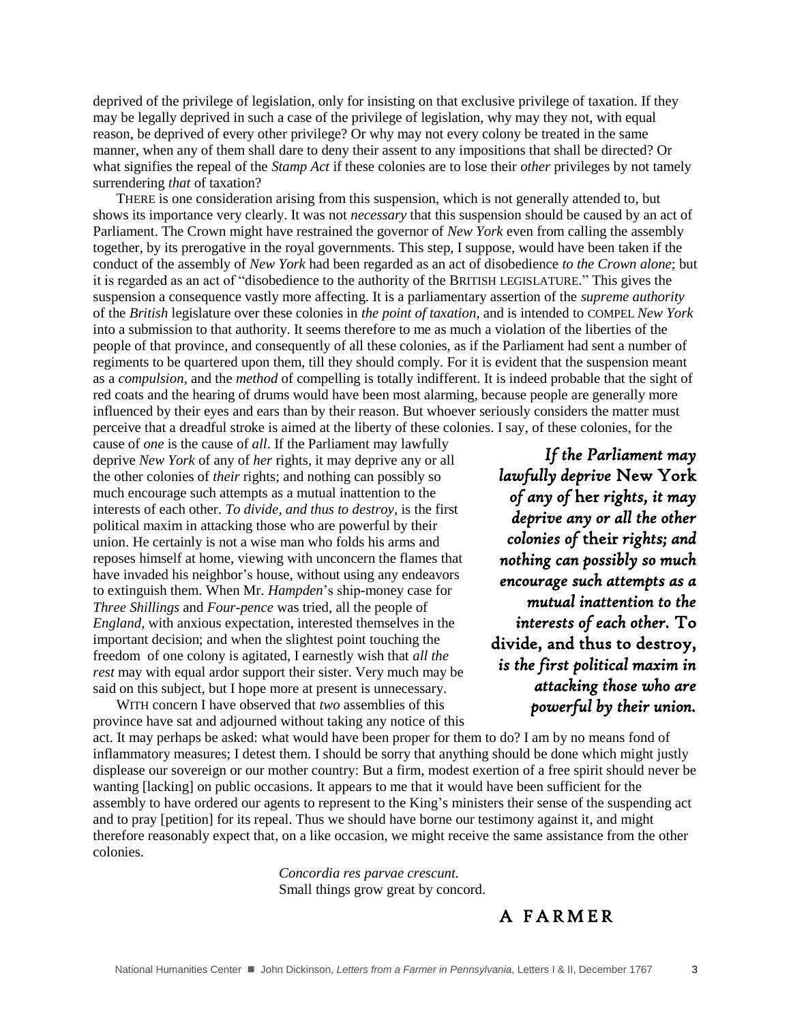deprived of the privilege of legislation, only for insisting on that exclusive privilege of taxation. If they may be legally deprived in such a case of the privilege of legislation, why may they not, with equal reason, be deprived of every other privilege? Or why may not every colony be treated in the same manner, when any of them shall dare to deny their assent to any impositions that shall be directed? Or what signifies the repeal of the *Stamp Act* if these colonies are to lose their *other* privileges by not tamely surrendering *that* of taxation?

THERE is one consideration arising from this suspension, which is not generally attended to, but shows its importance very clearly. It was not *necessary* that this suspension should be caused by an act of Parliament. The Crown might have restrained the governor of *New York* even from calling the assembly together, by its prerogative in the royal governments. This step, I suppose, would have been taken if the conduct of the assembly of *New York* had been regarded as an act of disobedience *to the Crown alone*; but it is regarded as an act of "disobedience to the authority of the BRITISH LEGISLATURE." This gives the suspension a consequence vastly more affecting. It is a parliamentary assertion of the *supreme authority*  of the *British* legislature over these colonies in *the point of taxation*, and is intended to COMPEL *New York* into a submission to that authority. It seems therefore to me as much a violation of the liberties of the people of that province, and consequently of all these colonies, as if the Parliament had sent a number of regiments to be quartered upon them, till they should comply. For it is evident that the suspension meant as a *compulsion*, and the *method* of compelling is totally indifferent. It is indeed probable that the sight of red coats and the hearing of drums would have been most alarming, because people are generally more influenced by their eyes and ears than by their reason. But whoever seriously considers the matter must perceive that a dreadful stroke is aimed at the liberty of these colonies. I say, of these colonies, for the

cause of *one* is the cause of *all*. If the Parliament may lawfully deprive *New York* of any of *her* rights, it may deprive any or all the other colonies of *their* rights; and nothing can possibly so much encourage such attempts as a mutual inattention to the interests of each other. *To divide, and thus to destroy,* is the first political maxim in attacking those who are powerful by their union. He certainly is not a wise man who folds his arms and reposes himself at home, viewing with unconcern the flames that have invaded his neighbor's house, without using any endeavors to extinguish them. When Mr. *Hampden*'s ship-money case for *Three Shillings* and *Four-pence* was tried, all the people of *England*, with anxious expectation, interested themselves in the important decision; and when the slightest point touching the freedom of one colony is agitated, I earnestly wish that *all the rest* may with equal ardor support their sister. Very much may be said on this subject, but I hope more at present is unnecessary.

*If the Parliament may lawfully deprive* New York *of any of* her *rights, it may deprive any or all the other colonies of* their *rights; and nothing can possibly so much encourage such attempts as a mutual inattention to the interests of each other.* To divide, and thus to destroy, *is the first political maxim in attacking those who are powerful by their union.* 

WITH concern I have observed that *two* assemblies of this province have sat and adjourned without taking any notice of this

act. It may perhaps be asked: what would have been proper for them to do? I am by no means fond of inflammatory measures; I detest them. I should be sorry that anything should be done which might justly displease our sovereign or our mother country: But a firm, modest exertion of a free spirit should never be wanting [lacking] on public occasions. It appears to me that it would have been sufficient for the assembly to have ordered our agents to represent to the King's ministers their sense of the suspending act and to pray [petition] for its repeal. Thus we should have borne our testimony against it, and might therefore reasonably expect that, on a like occasion, we might receive the same assistance from the other colonies.

> *Concordia res parvae crescunt.* Small things grow great by concord.

### A F A R M E R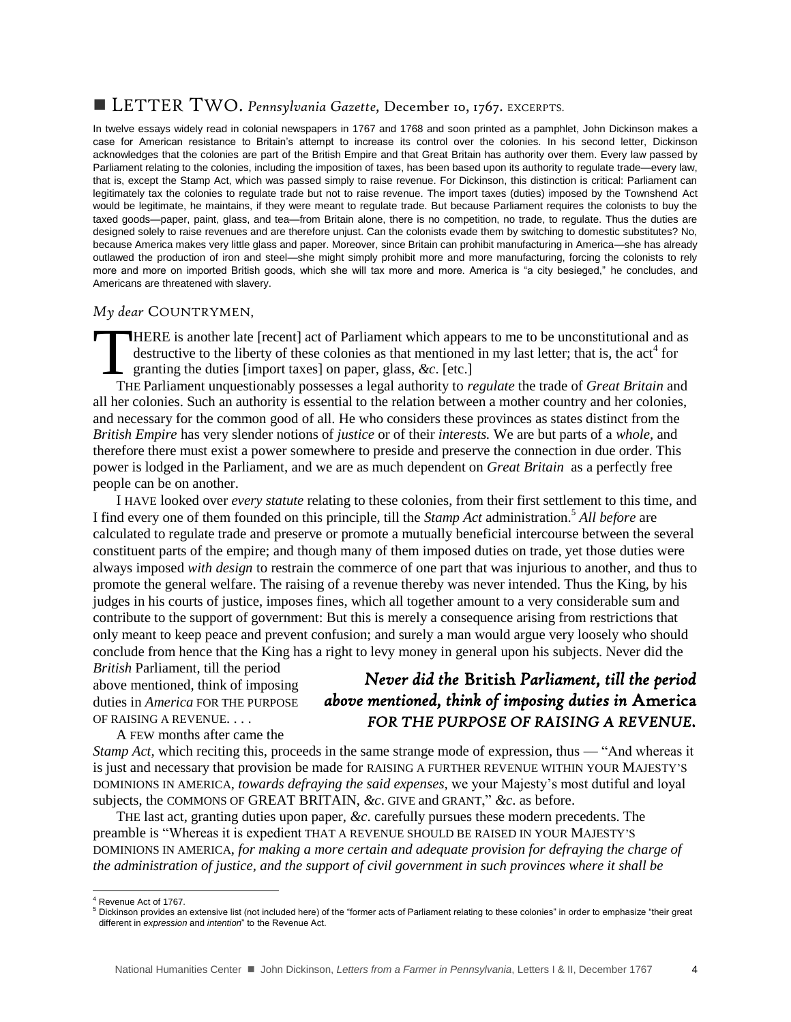### LETTER TWO. *Pennsylvania Gazette,* December 10, 1767. EXCERPTS.

In twelve essays widely read in colonial newspapers in 1767 and 1768 and soon printed as a pamphlet, John Dickinson makes a case for American resistance to Britain's attempt to increase its control over the colonies. In his second letter, Dickinson acknowledges that the colonies are part of the British Empire and that Great Britain has authority over them. Every law passed by Parliament relating to the colonies, including the imposition of taxes, has been based upon its authority to regulate trade—every law, that is, except the Stamp Act, which was passed simply to raise revenue. For Dickinson, this distinction is critical: Parliament can legitimately tax the colonies to regulate trade but not to raise revenue. The import taxes (duties) imposed by the Townshend Act would be legitimate, he maintains, if they were meant to regulate trade. But because Parliament requires the colonists to buy the taxed goods—paper, paint, glass, and tea—from Britain alone, there is no competition, no trade, to regulate. Thus the duties are designed solely to raise revenues and are therefore unjust. Can the colonists evade them by switching to domestic substitutes? No, because America makes very little glass and paper. Moreover, since Britain can prohibit manufacturing in America—she has already outlawed the production of iron and steel—she might simply prohibit more and more manufacturing, forcing the colonists to rely more and more on imported British goods, which she will tax more and more. America is "a city besieged," he concludes, and Americans are threatened with slavery.

#### *My dear* COUNTRYMEN,

**HERE** is another late [recent] act of Parliament which appears to me to be unconstitutional and as destructive to the liberty of these colonies as that mentioned in my last letter; that is, the act<sup>4</sup> for granting the duties [import taxes] on paper, glass, *&c*. [etc.]  $\prod_{\mathrm{TH}}$ 

THE Parliament unquestionably possesses a legal authority to *regulate* the trade of *Great Britain* and all her colonies. Such an authority is essential to the relation between a mother country and her colonies, and necessary for the common good of all. He who considers these provinces as states distinct from the *British Empire* has very slender notions of *justice* or of their *interests.* We are but parts of a *whole,* and therefore there must exist a power somewhere to preside and preserve the connection in due order. This power is lodged in the Parliament, and we are as much dependent on *Great Britain* as a perfectly free people can be on another.

I HAVE looked over *every statute* relating to these colonies, from their first settlement to this time, and I find every one of them founded on this principle, till the *Stamp Act* administration. <sup>5</sup> *All before* are calculated to regulate trade and preserve or promote a mutually beneficial intercourse between the several constituent parts of the empire; and though many of them imposed duties on trade, yet those duties were always imposed *with design* to restrain the commerce of one part that was injurious to another, and thus to promote the general welfare. The raising of a revenue thereby was never intended. Thus the King, by his judges in his courts of justice, imposes fines, which all together amount to a very considerable sum and contribute to the support of government: But this is merely a consequence arising from restrictions that only meant to keep peace and prevent confusion; and surely a man would argue very loosely who should conclude from hence that the King has a right to levy money in general upon his subjects. Never did the

*British* Parliament, till the period above mentioned, think of imposing duties in *America* FOR THE PURPOSE OF RAISING A REVENUE. . . .

A FEW months after came the

# *Never did the* British *Parliament, till the period above mentioned, think of imposing duties in* America *FOR THE PURPOSE OF RAISING A REVENUE.*

*Stamp Act,* which reciting this, proceeds in the same strange mode of expression, thus — "And whereas it is just and necessary that provision be made for RAISING A FURTHER REVENUE WITHIN YOUR MAJESTY'S DOMINIONS IN AMERICA, *towards defraying the said expenses,* we your Majesty's most dutiful and loyal subjects, the COMMONS OF GREAT BRITAIN, *&c*. GIVE and GRANT," *&c*. as before.

THE last act, granting duties upon paper, *&c*. carefully pursues these modern precedents. The preamble is "Whereas it is expedient THAT A REVENUE SHOULD BE RAISED IN YOUR MAJESTY'S DOMINIONS IN AMERICA, *for making a more certain and adequate provision for defraying the charge of the administration of justice, and the support of civil government in such provinces where it shall be* 

l

<sup>4</sup> Revenue Act of 1767.

<sup>5</sup> Dickinson provides an extensive list (not included here) of the "former acts of Parliament relating to these colonies" in order to emphasize "their great different in *expression* and *intention*" to the Revenue Act.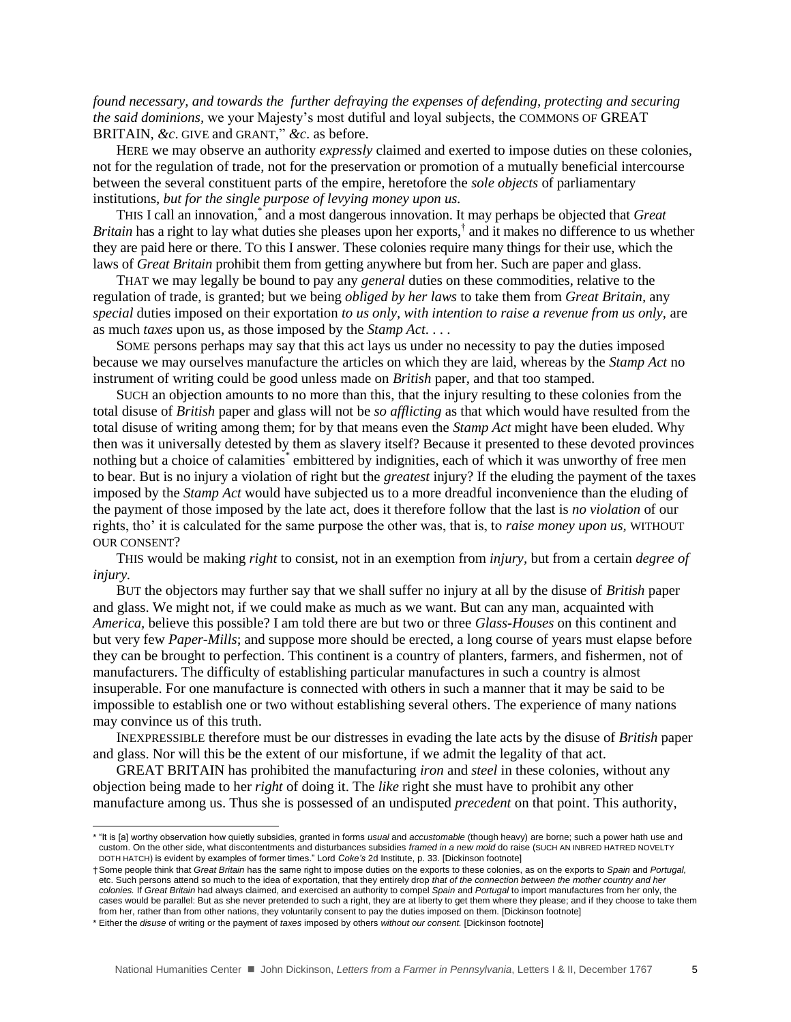*found necessary, and towards the further defraying the expenses of defending, protecting and securing the said dominions,* we your Majesty's most dutiful and loyal subjects, the COMMONS OF GREAT BRITAIN, *&c*. GIVE and GRANT," *&c*. as before.

HERE we may observe an authority *expressly* claimed and exerted to impose duties on these colonies, not for the regulation of trade, not for the preservation or promotion of a mutually beneficial intercourse between the several constituent parts of the empire, heretofore the *sole objects* of parliamentary institutions, *but for the single purpose of levying money upon us.*

THIS I call an innovation,\* and a most dangerous innovation. It may perhaps be objected that *Great*  Britain has a right to lay what duties she pleases upon her exports,<sup>†</sup> and it makes no difference to us whether they are paid here or there. TO this I answer. These colonies require many things for their use, which the laws of *Great Britain* prohibit them from getting anywhere but from her. Such are paper and glass.

THAT we may legally be bound to pay any *general* duties on these commodities, relative to the regulation of trade, is granted; but we being *obliged by her laws* to take them from *Great Britain,* any *special* duties imposed on their exportation *to us only, with intention to raise a revenue from us only,* are as much *taxes* upon us, as those imposed by the *Stamp Act*. . . .

SOME persons perhaps may say that this act lays us under no necessity to pay the duties imposed because we may ourselves manufacture the articles on which they are laid, whereas by the *Stamp Act* no instrument of writing could be good unless made on *British* paper, and that too stamped.

SUCH an objection amounts to no more than this, that the injury resulting to these colonies from the total disuse of *British* paper and glass will not be *so afflicting* as that which would have resulted from the total disuse of writing among them; for by that means even the *Stamp Act* might have been eluded. Why then was it universally detested by them as slavery itself? Because it presented to these devoted provinces nothing but a choice of calamities<sup>\*</sup> embittered by indignities, each of which it was unworthy of free men to bear. But is no injury a violation of right but the *greatest* injury? If the eluding the payment of the taxes imposed by the *Stamp Act* would have subjected us to a more dreadful inconvenience than the eluding of the payment of those imposed by the late act, does it therefore follow that the last is *no violation* of our rights, tho' it is calculated for the same purpose the other was, that is, to *raise money upon us,* WITHOUT OUR CONSENT?

THIS would be making *right* to consist, not in an exemption from *injury,* but from a certain *degree of injury.*

BUT the objectors may further say that we shall suffer no injury at all by the disuse of *British* paper and glass. We might not, if we could make as much as we want. But can any man, acquainted with *America,* believe this possible? I am told there are but two or three *Glass-Houses* on this continent and but very few *Paper-Mills*; and suppose more should be erected, a long course of years must elapse before they can be brought to perfection. This continent is a country of planters, farmers, and fishermen, not of manufacturers. The difficulty of establishing particular manufactures in such a country is almost insuperable. For one manufacture is connected with others in such a manner that it may be said to be impossible to establish one or two without establishing several others. The experience of many nations may convince us of this truth.

INEXPRESSIBLE therefore must be our distresses in evading the late acts by the disuse of *British* paper and glass. Nor will this be the extent of our misfortune, if we admit the legality of that act.

GREAT BRITAIN has prohibited the manufacturing *iron* and *steel* in these colonies, without any objection being made to her *right* of doing it. The *like* right she must have to prohibit any other manufacture among us. Thus she is possessed of an undisputed *precedent* on that point. This authority,

 $\overline{a}$ 

<sup>\*</sup> "It is [a] worthy observation how quietly subsidies, granted in forms *usual* and *accustomable* (though heavy) are borne; such a power hath use and custom. On the other side, what discontentments and disturbances subsidies *framed in a new mold* do raise (SUCH AN INBRED HATRED NOVELTY DOTH HATCH) is evident by examples of former times." Lord *Coke's* 2d Institute, p. 33. [Dickinson footnote]

<sup>†</sup>Some people think that *Great Britain* has the same right to impose duties on the exports to these colonies, as on the exports to *Spain* and *Portugal,* etc. Such persons attend so much to the idea of exportation, that they entirely drop *that of the connection between the mother country and her*<br>*colonies. If Great Britain* had always claimed, and exercised an authority t cases would be parallel: But as she never pretended to such a right, they are at liberty to get them where they please; and if they choose to take them from her, rather than from other nations, they voluntarily consent to pay the duties imposed on them. [Dickinson footnote]

<sup>\*</sup> Either the *disuse* of writing or the payment of *taxes* imposed by others *without our consent.* [Dickinson footnote]